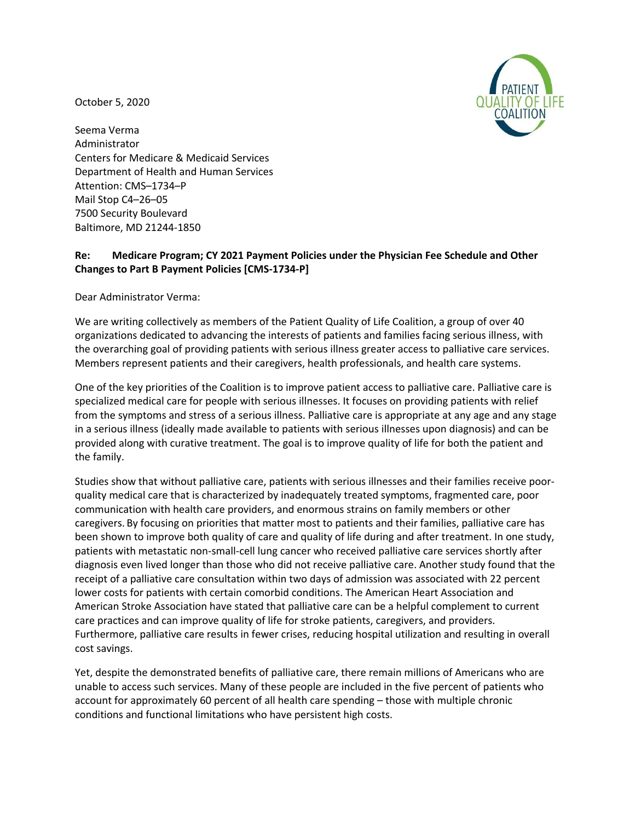October 5, 2020



Seema Verma Administrator Centers for Medicare & Medicaid Services Department of Health and Human Services Attention: CMS–1734–P Mail Stop C4–26–05 7500 Security Boulevard Baltimore, MD 21244-1850

## **Re: Medicare Program; CY 2021 Payment Policies under the Physician Fee Schedule and Other Changes to Part B Payment Policies [CMS-1734-P]**

Dear Administrator Verma:

We are writing collectively as members of the Patient Quality of Life Coalition, a group of over 40 organizations dedicated to advancing the interests of patients and families facing serious illness, with the overarching goal of providing patients with serious illness greater access to palliative care services. Members represent patients and their caregivers, health professionals, and health care systems.

One of the key priorities of the Coalition is to improve patient access to palliative care. Palliative care is specialized medical care for people with serious illnesses. It focuses on providing patients with relief from the symptoms and stress of a serious illness. Palliative care is appropriate at any age and any stage in a serious illness (ideally made available to patients with serious illnesses upon diagnosis) and can be provided along with curative treatment. The goal is to improve quality of life for both the patient and the family.

Studies show that without palliative care, patients with serious illnesses and their families receive poorquality medical care that is characterized by inadequately treated symptoms, fragmented care, poor communication with health care providers, and enormous strains on family members or other caregivers. By focusing on priorities that matter most to patients and their families, palliative care has been shown to improve both quality of care and quality of life during and after treatment. In one study, patients with metastatic non-small-cell lung cancer who received palliative care services shortly after diagnosis even lived longer than those who did not receive palliative care. Another study found that the receipt of a palliative care consultation within two days of admission was associated with 22 percent lower costs for patients with certain comorbid conditions. The American Heart Association and American Stroke Association have stated that palliative care can be a helpful complement to current care practices and can improve quality of life for stroke patients, caregivers, and providers. Furthermore, palliative care results in fewer crises, reducing hospital utilization and resulting in overall cost savings.

Yet, despite the demonstrated benefits of palliative care, there remain millions of Americans who are unable to access such services. Many of these people are included in the five percent of patients who account for approximately 60 percent of all health care spending – those with multiple chronic conditions and functional limitations who have persistent high costs.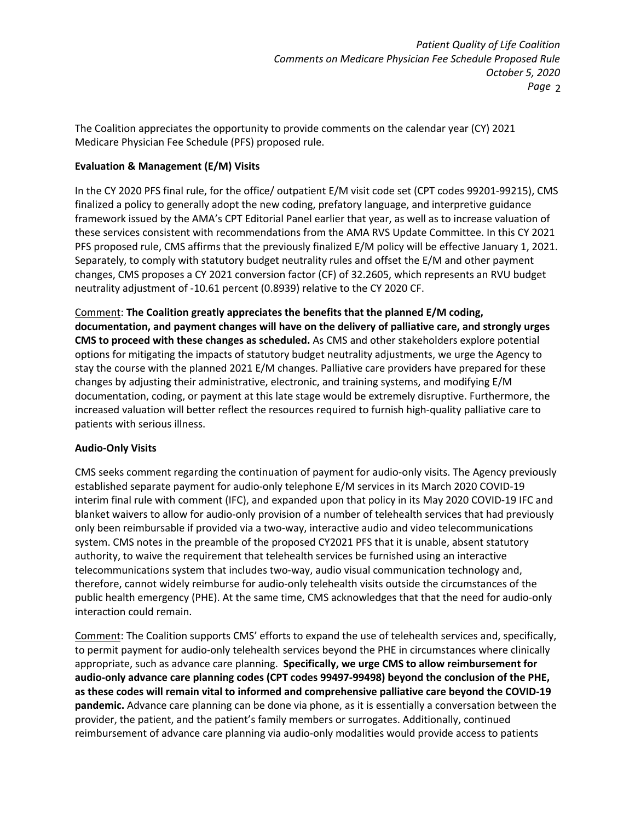The Coalition appreciates the opportunity to provide comments on the calendar year (CY) 2021 Medicare Physician Fee Schedule (PFS) proposed rule.

## **Evaluation & Management (E/M) Visits**

In the CY 2020 PFS final rule, for the office/ outpatient E/M visit code set (CPT codes 99201-99215), CMS finalized a policy to generally adopt the new coding, prefatory language, and interpretive guidance framework issued by the AMA's CPT Editorial Panel earlier that year, as well as to increase valuation of these services consistent with recommendations from the AMA RVS Update Committee. In this CY 2021 PFS proposed rule, CMS affirms that the previously finalized E/M policy will be effective January 1, 2021. Separately, to comply with statutory budget neutrality rules and offset the E/M and other payment changes, CMS proposes a CY 2021 conversion factor (CF) of 32.2605, which represents an RVU budget neutrality adjustment of -10.61 percent (0.8939) relative to the CY 2020 CF.

Comment: **The Coalition greatly appreciates the benefits that the planned E/M coding, documentation, and payment changes will have on the delivery of palliative care, and strongly urges CMS to proceed with these changes as scheduled.** As CMS and other stakeholders explore potential options for mitigating the impacts of statutory budget neutrality adjustments, we urge the Agency to stay the course with the planned 2021 E/M changes. Palliative care providers have prepared for these changes by adjusting their administrative, electronic, and training systems, and modifying E/M documentation, coding, or payment at this late stage would be extremely disruptive. Furthermore, the increased valuation will better reflect the resources required to furnish high-quality palliative care to patients with serious illness.

## **Audio-Only Visits**

CMS seeks comment regarding the continuation of payment for audio-only visits. The Agency previously established separate payment for audio-only telephone E/M services in its March 2020 COVID-19 interim final rule with comment (IFC), and expanded upon that policy in its May 2020 COVID-19 IFC and blanket waivers to allow for audio-only provision of a number of telehealth services that had previously only been reimbursable if provided via a two-way, interactive audio and video telecommunications system. CMS notes in the preamble of the proposed CY2021 PFS that it is unable, absent statutory authority, to waive the requirement that telehealth services be furnished using an interactive telecommunications system that includes two-way, audio visual communication technology and, therefore, cannot widely reimburse for audio-only telehealth visits outside the circumstances of the public health emergency (PHE). At the same time, CMS acknowledges that that the need for audio-only interaction could remain.

Comment: The Coalition supports CMS' efforts to expand the use of telehealth services and, specifically, to permit payment for audio-only telehealth services beyond the PHE in circumstances where clinically appropriate, such as advance care planning. **Specifically, we urge CMS to allow reimbursement for audio-only advance care planning codes (CPT codes 99497-99498) beyond the conclusion of the PHE, as these codes will remain vital to informed and comprehensive palliative care beyond the COVID-19 pandemic.** Advance care planning can be done via phone, as it is essentially a conversation between the provider, the patient, and the patient's family members or surrogates. Additionally, continued reimbursement of advance care planning via audio-only modalities would provide access to patients